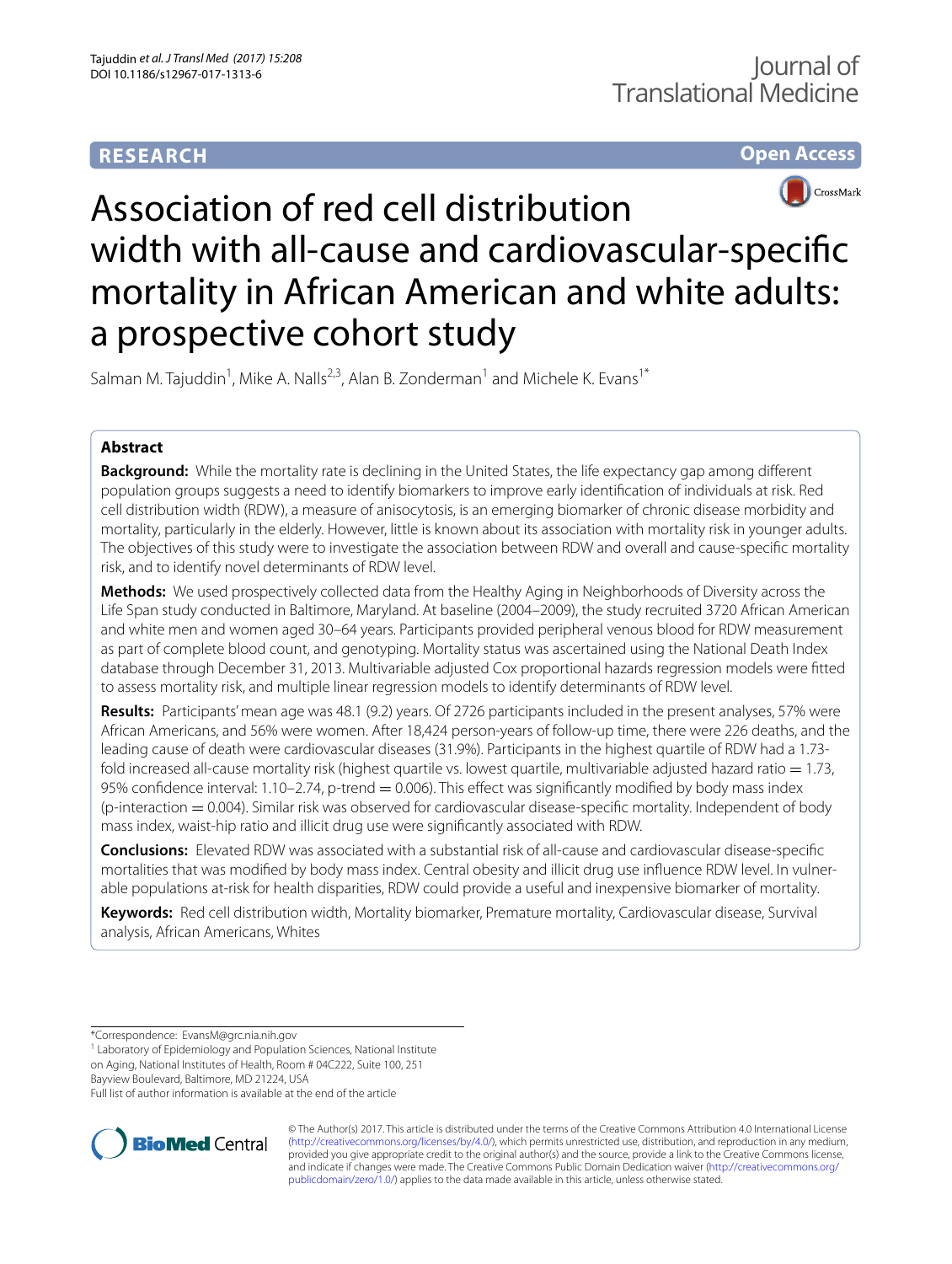# **RESEARCH**

# **Open Access**



# Association of red cell distribution width with all-cause and cardiovascular-specifc mortality in African American and white adults: a prospective cohort study

Salman M. Tajuddin<sup>1</sup>, Mike A. Nalls<sup>2,3</sup>, Alan B. Zonderman<sup>1</sup> and Michele K. Evans<sup>1\*</sup>

# **Abstract**

**Background:** While the mortality rate is declining in the United States, the life expectancy gap among diferent population groups suggests a need to identify biomarkers to improve early identifcation of individuals at risk. Red cell distribution width (RDW), a measure of anisocytosis, is an emerging biomarker of chronic disease morbidity and mortality, particularly in the elderly. However, little is known about its association with mortality risk in younger adults. The objectives of this study were to investigate the association between RDW and overall and cause-specifc mortality risk, and to identify novel determinants of RDW level.

**Methods:** We used prospectively collected data from the Healthy Aging in Neighborhoods of Diversity across the Life Span study conducted in Baltimore, Maryland. At baseline (2004–2009), the study recruited 3720 African American and white men and women aged 30–64 years. Participants provided peripheral venous blood for RDW measurement as part of complete blood count, and genotyping. Mortality status was ascertained using the National Death Index database through December 31, 2013. Multivariable adjusted Cox proportional hazards regression models were ftted to assess mortality risk, and multiple linear regression models to identify determinants of RDW level.

**Results:** Participants' mean age was 48.1 (9.2) years. Of 2726 participants included in the present analyses, 57% were African Americans, and 56% were women. After 18,424 person-years of follow-up time, there were 226 deaths, and the leading cause of death were cardiovascular diseases (31.9%). Participants in the highest quartile of RDW had a 1.73 fold increased all-cause mortality risk (highest quartile vs. lowest quartile, multivariable adjusted hazard ratio  $= 1.73$ , 95% confidence interval:  $1.10-2.74$ , p-trend = 0.006). This effect was significantly modified by body mass index  $(p\text{-interaction} = 0.004)$ . Similar risk was observed for cardiovascular disease-specific mortality. Independent of body mass index, waist-hip ratio and illicit drug use were signifcantly associated with RDW.

**Conclusions:** Elevated RDW was associated with a substantial risk of all-cause and cardiovascular disease-specifc mortalities that was modifed by body mass index. Central obesity and illicit drug use infuence RDW level. In vulnerable populations at-risk for health disparities, RDW could provide a useful and inexpensive biomarker of mortality.

**Keywords:** Red cell distribution width, Mortality biomarker, Premature mortality, Cardiovascular disease, Survival analysis, African Americans, Whites

Bayview Boulevard, Baltimore, MD 21224, USA

Full list of author information is available at the end of the article



© The Author(s) 2017. This article is distributed under the terms of the Creative Commons Attribution 4.0 International License [\(http://creativecommons.org/licenses/by/4.0/\)](http://creativecommons.org/licenses/by/4.0/), which permits unrestricted use, distribution, and reproduction in any medium, provided you give appropriate credit to the original author(s) and the source, provide a link to the Creative Commons license, and indicate if changes were made. The Creative Commons Public Domain Dedication waiver ([http://creativecommons.org/](http://creativecommons.org/publicdomain/zero/1.0/) [publicdomain/zero/1.0/](http://creativecommons.org/publicdomain/zero/1.0/)) applies to the data made available in this article, unless otherwise stated.

<sup>\*</sup>Correspondence: EvansM@grc.nia.nih.gov

<sup>&</sup>lt;sup>1</sup> Laboratory of Epidemiology and Population Sciences, National Institute

on Aging, National Institutes of Health, Room # 04C222, Suite 100, 251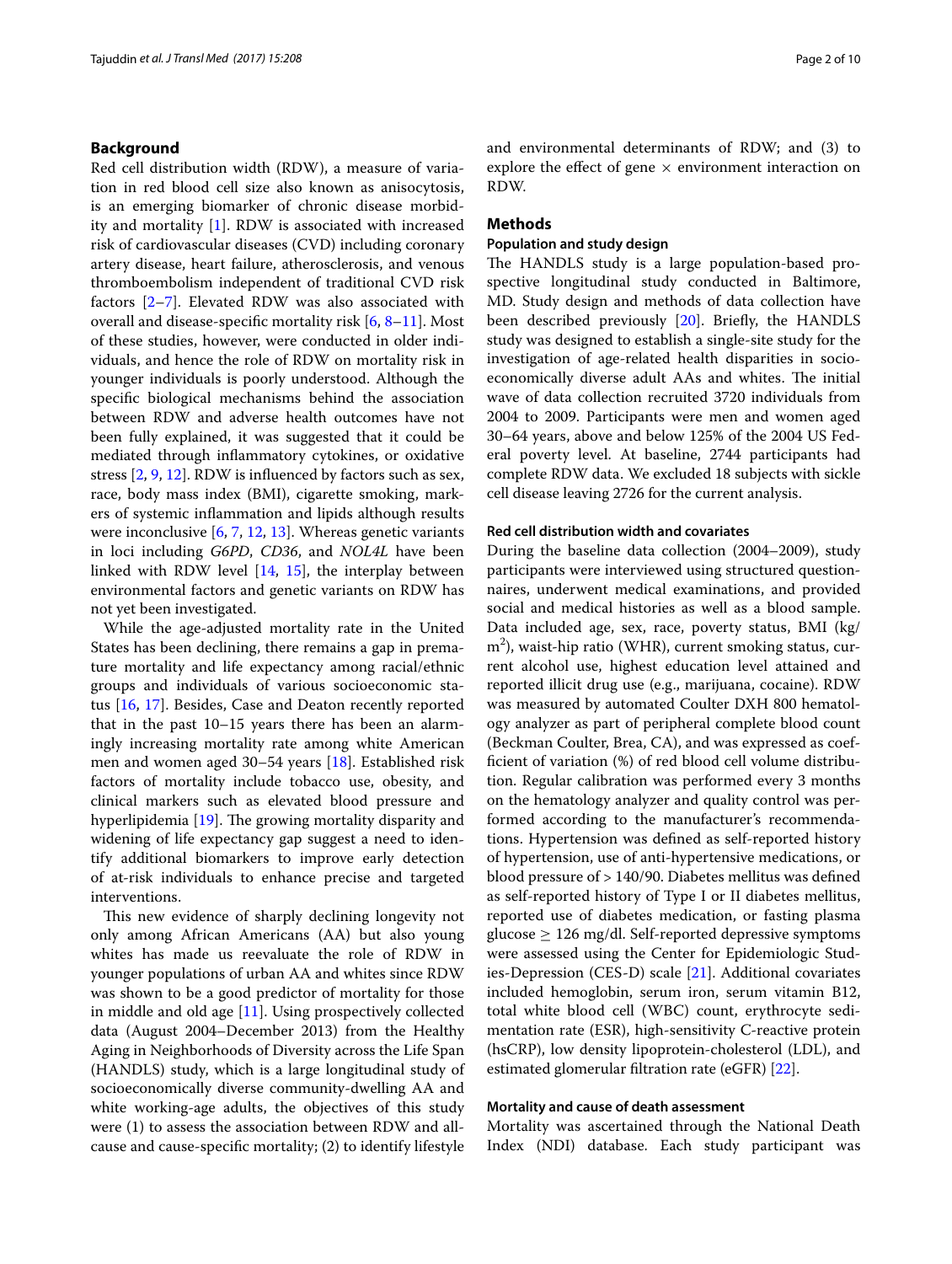# **Background**

Red cell distribution width (RDW), a measure of variation in red blood cell size also known as anisocytosis, is an emerging biomarker of chronic disease morbidity and mortality [[1\]](#page-8-0). RDW is associated with increased risk of cardiovascular diseases (CVD) including coronary artery disease, heart failure, atherosclerosis, and venous thromboembolism independent of traditional CVD risk factors [\[2](#page-8-1)[–7](#page-8-2)]. Elevated RDW was also associated with overall and disease-specifc mortality risk [\[6](#page-8-3), [8–](#page-8-4)[11](#page-9-0)]. Most of these studies, however, were conducted in older individuals, and hence the role of RDW on mortality risk in younger individuals is poorly understood. Although the specifc biological mechanisms behind the association between RDW and adverse health outcomes have not been fully explained, it was suggested that it could be mediated through infammatory cytokines, or oxidative stress [\[2,](#page-8-1) [9](#page-8-5), [12\]](#page-9-1). RDW is infuenced by factors such as sex, race, body mass index (BMI), cigarette smoking, markers of systemic infammation and lipids although results were inconclusive [\[6](#page-8-3), [7,](#page-8-2) [12](#page-9-1), [13](#page-9-2)]. Whereas genetic variants in loci including *G6PD*, *CD36*, and *NOL4L* have been linked with RDW level [[14](#page-9-3), [15\]](#page-9-4), the interplay between environmental factors and genetic variants on RDW has not yet been investigated.

While the age-adjusted mortality rate in the United States has been declining, there remains a gap in premature mortality and life expectancy among racial/ethnic groups and individuals of various socioeconomic status [\[16](#page-9-5), [17](#page-9-6)]. Besides, Case and Deaton recently reported that in the past 10–15 years there has been an alarmingly increasing mortality rate among white American men and women aged 30–54 years [\[18](#page-9-7)]. Established risk factors of mortality include tobacco use, obesity, and clinical markers such as elevated blood pressure and hyperlipidemia  $[19]$  $[19]$ . The growing mortality disparity and widening of life expectancy gap suggest a need to identify additional biomarkers to improve early detection of at-risk individuals to enhance precise and targeted interventions.

This new evidence of sharply declining longevity not only among African Americans (AA) but also young whites has made us reevaluate the role of RDW in younger populations of urban AA and whites since RDW was shown to be a good predictor of mortality for those in middle and old age  $[11]$  $[11]$ . Using prospectively collected data (August 2004–December 2013) from the Healthy Aging in Neighborhoods of Diversity across the Life Span (HANDLS) study, which is a large longitudinal study of socioeconomically diverse community-dwelling AA and white working-age adults, the objectives of this study were (1) to assess the association between RDW and allcause and cause-specifc mortality; (2) to identify lifestyle and environmental determinants of RDW; and (3) to explore the effect of gene  $\times$  environment interaction on RDW.

## **Methods**

### **Population and study design**

The HANDLS study is a large population-based prospective longitudinal study conducted in Baltimore, MD. Study design and methods of data collection have been described previously [[20](#page-9-9)]. Briefly, the HANDLS study was designed to establish a single-site study for the investigation of age-related health disparities in socioeconomically diverse adult AAs and whites. The initial wave of data collection recruited 3720 individuals from 2004 to 2009. Participants were men and women aged 30–64 years, above and below 125% of the 2004 US Federal poverty level. At baseline, 2744 participants had complete RDW data. We excluded 18 subjects with sickle cell disease leaving 2726 for the current analysis.

#### **Red cell distribution width and covariates**

During the baseline data collection (2004–2009), study participants were interviewed using structured questionnaires, underwent medical examinations, and provided social and medical histories as well as a blood sample. Data included age, sex, race, poverty status, BMI (kg/ m2 ), waist-hip ratio (WHR), current smoking status, current alcohol use, highest education level attained and reported illicit drug use (e.g., marijuana, cocaine). RDW was measured by automated Coulter DXH 800 hematology analyzer as part of peripheral complete blood count (Beckman Coulter, Brea, CA), and was expressed as coeffcient of variation (%) of red blood cell volume distribution. Regular calibration was performed every 3 months on the hematology analyzer and quality control was performed according to the manufacturer's recommendations. Hypertension was defned as self-reported history of hypertension, use of anti-hypertensive medications, or blood pressure of > 140/90. Diabetes mellitus was defned as self-reported history of Type I or II diabetes mellitus, reported use of diabetes medication, or fasting plasma glucose ≥ 126 mg/dl. Self-reported depressive symptoms were assessed using the Center for Epidemiologic Studies-Depression (CES-D) scale [[21\]](#page-9-10). Additional covariates included hemoglobin, serum iron, serum vitamin B12, total white blood cell (WBC) count, erythrocyte sedimentation rate (ESR), high-sensitivity C-reactive protein (hsCRP), low density lipoprotein-cholesterol (LDL), and estimated glomerular fltration rate (eGFR) [\[22](#page-9-11)].

#### **Mortality and cause of death assessment**

Mortality was ascertained through the National Death Index (NDI) database. Each study participant was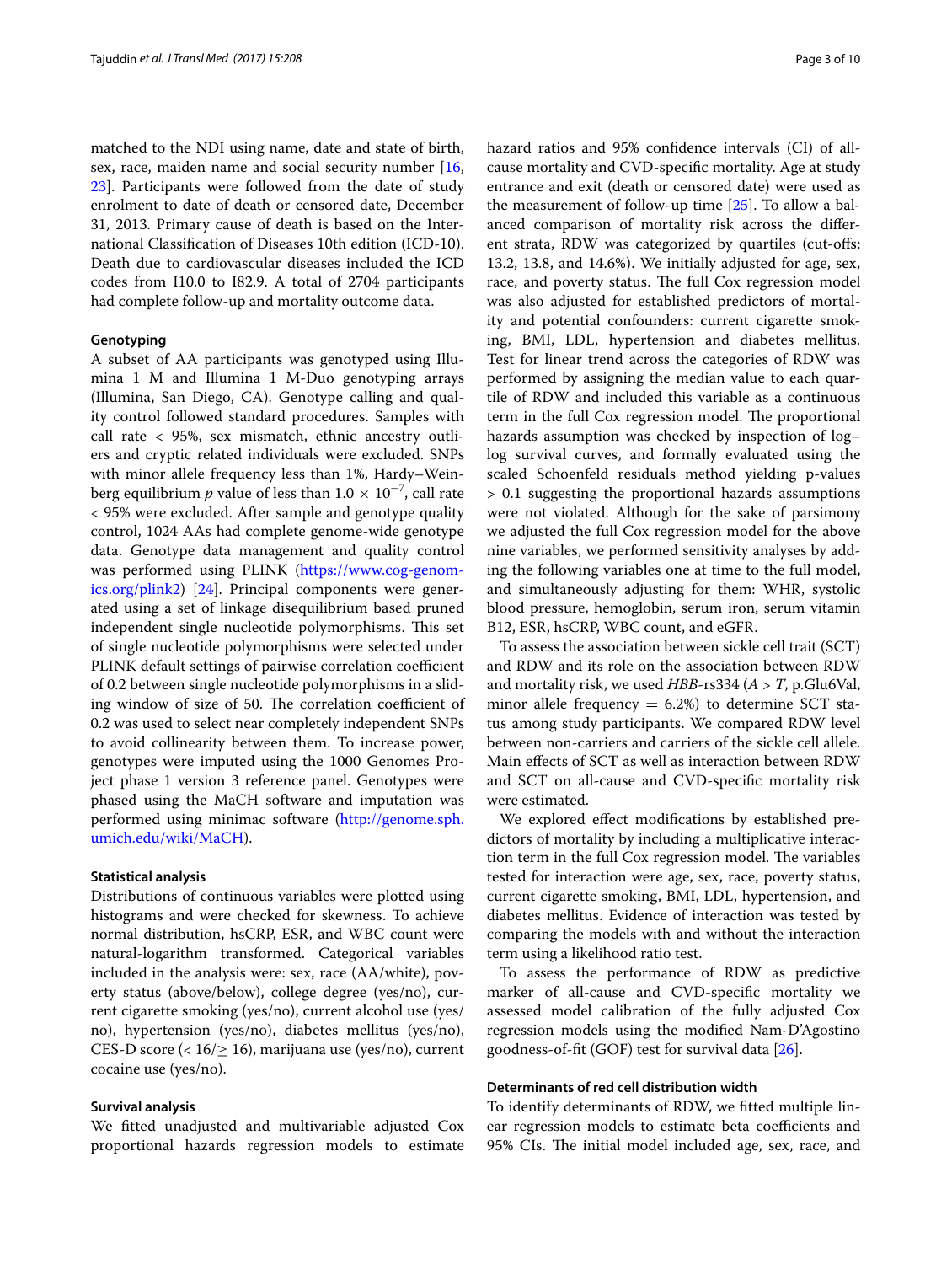matched to the NDI using name, date and state of birth, sex, race, maiden name and social security number [\[16](#page-9-5), [23\]](#page-9-12). Participants were followed from the date of study enrolment to date of death or censored date, December 31, 2013. Primary cause of death is based on the International Classifcation of Diseases 10th edition (ICD-10). Death due to cardiovascular diseases included the ICD codes from I10.0 to I82.9. A total of 2704 participants had complete follow-up and mortality outcome data.

#### **Genotyping**

A subset of AA participants was genotyped using Illumina 1 M and Illumina 1 M-Duo genotyping arrays (Illumina, San Diego, CA). Genotype calling and quality control followed standard procedures. Samples with call rate < 95%, sex mismatch, ethnic ancestry outliers and cryptic related individuals were excluded. SNPs with minor allele frequency less than 1%, Hardy–Weinberg equilibrium *p* value of less than  $1.0 \times 10^{-7}$ , call rate < 95% were excluded. After sample and genotype quality control, 1024 AAs had complete genome-wide genotype data. Genotype data management and quality control was performed using PLINK ([https://www.cog-genom](https://www.cog-genomics.org/plink2)[ics.org/plink2\)](https://www.cog-genomics.org/plink2) [[24\]](#page-9-13). Principal components were generated using a set of linkage disequilibrium based pruned independent single nucleotide polymorphisms. This set of single nucleotide polymorphisms were selected under PLINK default settings of pairwise correlation coefficient of 0.2 between single nucleotide polymorphisms in a sliding window of size of 50. The correlation coefficient of 0.2 was used to select near completely independent SNPs to avoid collinearity between them. To increase power, genotypes were imputed using the 1000 Genomes Project phase 1 version 3 reference panel. Genotypes were phased using the MaCH software and imputation was performed using minimac software ([http://genome.sph.](http://genome.sph.umich.edu/wiki/MaCH) [umich.edu/wiki/MaCH\)](http://genome.sph.umich.edu/wiki/MaCH).

#### **Statistical analysis**

Distributions of continuous variables were plotted using histograms and were checked for skewness. To achieve normal distribution, hsCRP, ESR, and WBC count were natural-logarithm transformed. Categorical variables included in the analysis were: sex, race (AA/white), poverty status (above/below), college degree (yes/no), current cigarette smoking (yes/no), current alcohol use (yes/ no), hypertension (yes/no), diabetes mellitus (yes/no), CES-D score (<  $16/\geq 16$ ), marijuana use (yes/no), current cocaine use (yes/no).

## **Survival analysis**

We ftted unadjusted and multivariable adjusted Cox proportional hazards regression models to estimate hazard ratios and 95% confdence intervals (CI) of allcause mortality and CVD-specifc mortality. Age at study entrance and exit (death or censored date) were used as the measurement of follow-up time [\[25](#page-9-14)]. To allow a balanced comparison of mortality risk across the diferent strata, RDW was categorized by quartiles (cut-ofs: 13.2, 13.8, and 14.6%). We initially adjusted for age, sex, race, and poverty status. The full Cox regression model was also adjusted for established predictors of mortality and potential confounders: current cigarette smoking, BMI, LDL, hypertension and diabetes mellitus. Test for linear trend across the categories of RDW was performed by assigning the median value to each quartile of RDW and included this variable as a continuous term in the full Cox regression model. The proportional hazards assumption was checked by inspection of log– log survival curves, and formally evaluated using the scaled Schoenfeld residuals method yielding p-values > 0.1 suggesting the proportional hazards assumptions were not violated. Although for the sake of parsimony we adjusted the full Cox regression model for the above nine variables, we performed sensitivity analyses by adding the following variables one at time to the full model, and simultaneously adjusting for them: WHR, systolic blood pressure, hemoglobin, serum iron, serum vitamin B12, ESR, hsCRP, WBC count, and eGFR.

To assess the association between sickle cell trait (SCT) and RDW and its role on the association between RDW and mortality risk, we used *HBB*-rs334 (*A* > *T*, p.Glu6Val, minor allele frequency  $= 6.2%$  to determine SCT status among study participants. We compared RDW level between non-carriers and carriers of the sickle cell allele. Main efects of SCT as well as interaction between RDW and SCT on all-cause and CVD-specifc mortality risk were estimated.

We explored efect modifcations by established predictors of mortality by including a multiplicative interaction term in the full Cox regression model. The variables tested for interaction were age, sex, race, poverty status, current cigarette smoking, BMI, LDL, hypertension, and diabetes mellitus. Evidence of interaction was tested by comparing the models with and without the interaction term using a likelihood ratio test.

To assess the performance of RDW as predictive marker of all-cause and CVD-specifc mortality we assessed model calibration of the fully adjusted Cox regression models using the modifed Nam-D'Agostino goodness-of-fit (GOF) test for survival data  $[26]$ .

# **Determinants of red cell distribution width**

To identify determinants of RDW, we ftted multiple linear regression models to estimate beta coefficients and 95% CIs. The initial model included age, sex, race, and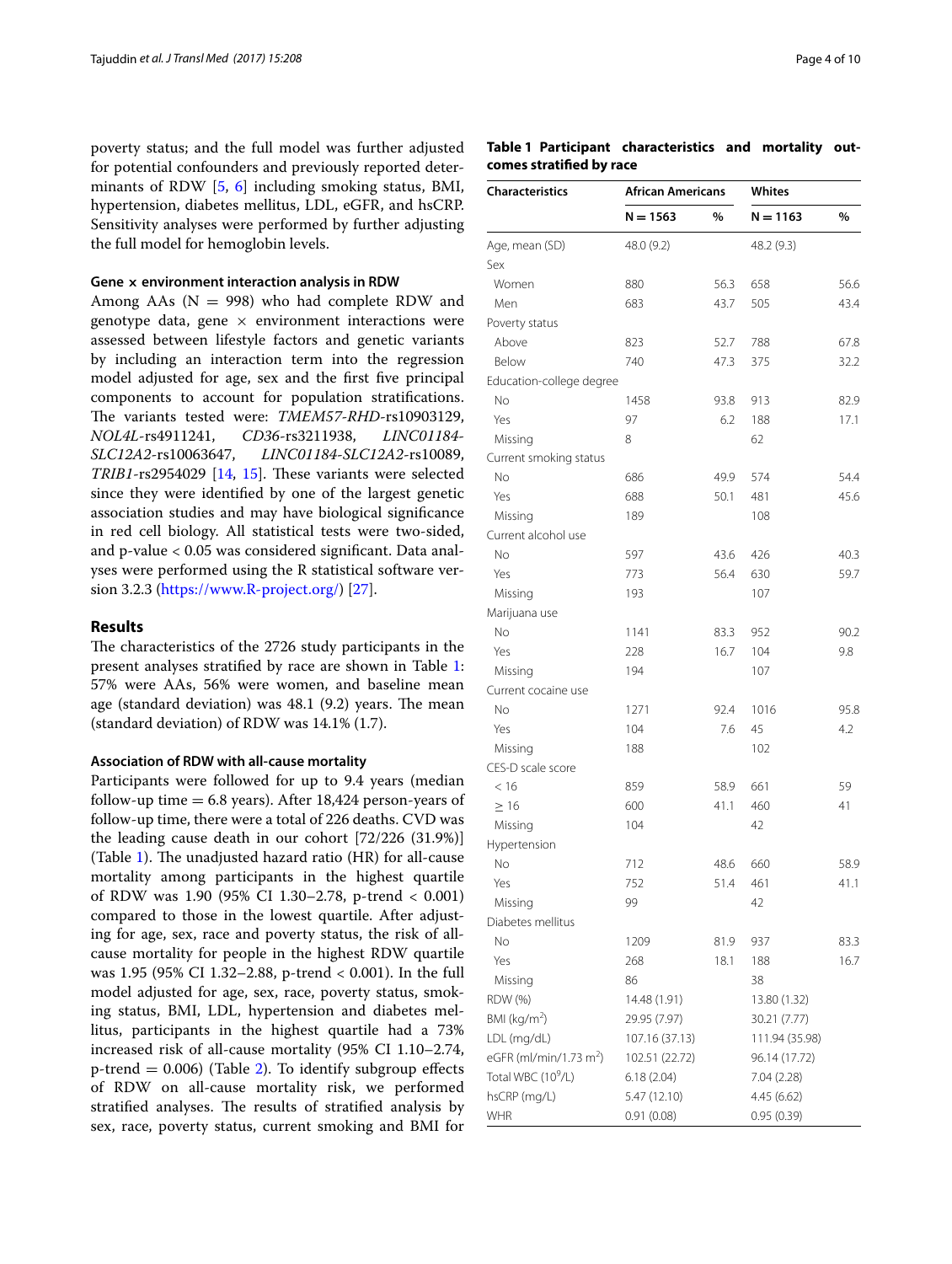poverty status; and the full model was further adjusted for potential confounders and previously reported determinants of RDW [\[5,](#page-8-6) [6\]](#page-8-3) including smoking status, BMI, hypertension, diabetes mellitus, LDL, eGFR, and hsCRP. Sensitivity analyses were performed by further adjusting the full model for hemoglobin levels.

#### **Gene × environment interaction analysis in RDW**

Among AAs ( $N = 998$ ) who had complete RDW and genotype data, gene  $\times$  environment interactions were assessed between lifestyle factors and genetic variants by including an interaction term into the regression model adjusted for age, sex and the frst fve principal components to account for population stratifcations. The variants tested were: *TMEM57-RHD-rs10903129*,<br>*NOL4L-rs4911241, CD36-rs3211938, LINC01184-NOL4L*-rs4911241, *CD36*-rs3211938, *LINC01184*- *SLC12A2*-rs10063647, *LINC01184*-*SLC12A2*-rs10089, *TRIB1*-rs2954029  $[14, 15]$  $[14, 15]$  $[14, 15]$  $[14, 15]$  $[14, 15]$ . These variants were selected since they were identifed by one of the largest genetic association studies and may have biological signifcance in red cell biology. All statistical tests were two-sided, and p-value < 0.05 was considered signifcant. Data analyses were performed using the R statistical software version 3.2.3 (<https://www.R-project.org/>) [[27\]](#page-9-16).

#### **Results**

The characteristics of the 2726 study participants in the present analyses stratifed by race are shown in Table [1](#page-3-0): 57% were AAs, 56% were women, and baseline mean age (standard deviation) was  $48.1$  (9.2) years. The mean (standard deviation) of RDW was 14.1% (1.7).

#### **Association of RDW with all‑cause mortality**

Participants were followed for up to 9.4 years (median follow-up time  $= 6.8$  years). After 18,424 person-years of follow-up time, there were a total of 226 deaths. CVD was the leading cause death in our cohort [72/226 (31.9%)] (Table [1](#page-3-0)). The unadjusted hazard ratio (HR) for all-cause mortality among participants in the highest quartile of RDW was 1.90 (95% CI 1.30–2.78, p-trend < 0.001) compared to those in the lowest quartile. After adjusting for age, sex, race and poverty status, the risk of allcause mortality for people in the highest RDW quartile was 1.95 (95% CI 1.32–2.88, p-trend < 0.001). In the full model adjusted for age, sex, race, poverty status, smoking status, BMI, LDL, hypertension and diabetes mellitus, participants in the highest quartile had a 73% increased risk of all-cause mortality (95% CI 1.10–2.74, p-trend  $= 0.006$ ) (Table [2\)](#page-4-0). To identify subgroup effects of RDW on all-cause mortality risk, we performed stratified analyses. The results of stratified analysis by sex, race, poverty status, current smoking and BMI for

# <span id="page-3-0"></span>**Table 1 Participant characteristics and mortality outcomes stratifed by race**

| <b>Characteristics</b>             | <b>African Americans</b> |      | Whites         |      |
|------------------------------------|--------------------------|------|----------------|------|
|                                    | $N = 1563$               | $\%$ | $N = 1163$     | %    |
| Age, mean (SD)                     | 48.0 (9.2)               |      | 48.2 (9.3)     |      |
| Sex                                |                          |      |                |      |
| Women                              | 880                      | 56.3 | 658            | 56.6 |
| Men                                | 683                      | 43.7 | 505            | 43.4 |
| Poverty status                     |                          |      |                |      |
| Above                              | 823                      | 52.7 | 788            | 67.8 |
| Below                              | 740                      | 47.3 | 375            | 32.2 |
| Education-college degree           |                          |      |                |      |
| No                                 | 1458                     | 93.8 | 913            | 82.9 |
| Yes                                | 97                       | 6.2  | 188            | 17.1 |
| Missing                            | 8                        |      | 62             |      |
| Current smoking status             |                          |      |                |      |
| No                                 | 686                      | 49.9 | 574            | 54.4 |
| Yes                                | 688                      | 50.1 | 481            | 45.6 |
| Missing                            | 189                      |      | 108            |      |
| Current alcohol use                |                          |      |                |      |
| No                                 | 597                      | 43.6 | 426            | 40.3 |
| Yes                                | 773                      | 56.4 | 630            | 59.7 |
| Missing                            | 193                      |      | 107            |      |
| Marijuana use                      |                          |      |                |      |
| No                                 | 1141                     | 83.3 | 952            | 90.2 |
| Yes                                | 228                      | 16.7 | 104            | 9.8  |
| Missing                            | 194                      |      | 107            |      |
| Current cocaine use                |                          |      |                |      |
| No                                 | 1271                     | 92.4 | 1016           | 95.8 |
| Yes                                | 104                      | 7.6  | 45             | 4.2  |
| Missing                            | 188                      |      | 102            |      |
| CES-D scale score                  |                          |      |                |      |
| < 16                               | 859                      | 58.9 | 661            | 59   |
| >16                                | 600                      | 41.1 | 460            | 41   |
| Missing                            | 104                      |      | 42             |      |
| Hypertension                       |                          |      |                |      |
| No                                 | 712                      | 48.6 | 660            | 58.9 |
| Yes                                | 752                      | 51.4 | 461            | 41.1 |
| Missing                            | 99                       |      | 42             |      |
| Diabetes mellitus                  |                          |      |                |      |
| No                                 | 1209                     | 81.9 | 937            | 83.3 |
| Yes                                | 268                      | 18.1 | 188            | 16.7 |
| Missing                            | 86                       |      | 38             |      |
| RDW (%)                            | 14.48 (1.91)             |      | 13.80 (1.32)   |      |
| BMI ( $kg/m2$ )                    | 29.95 (7.97)             |      | 30.21 (7.77)   |      |
| LDL (mg/dL)                        | 107.16 (37.13)           |      | 111.94 (35.98) |      |
| eGFR (ml/min/1.73 m <sup>2</sup> ) | 102.51 (22.72)           |      | 96.14 (17.72)  |      |
| Total WBC (10 <sup>9</sup> /L)     | 6.18(2.04)               |      | 7.04 (2.28)    |      |
| hsCRP (mg/L)                       | 5.47 (12.10)             |      | 4.45 (6.62)    |      |
| <b>WHR</b>                         | 0.91(0.08)               |      | 0.95(0.39)     |      |
|                                    |                          |      |                |      |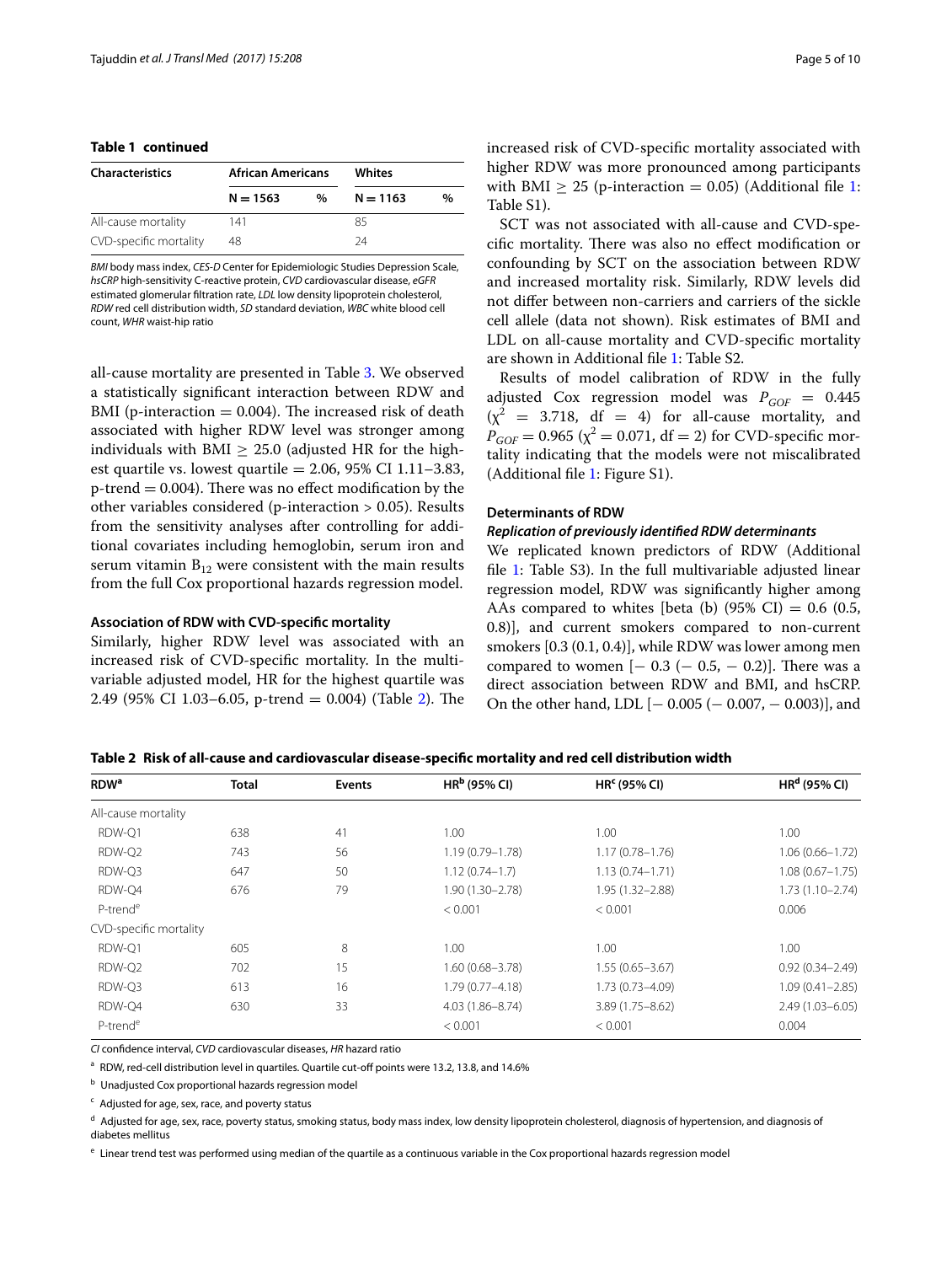# **Table 1 continued**

| <b>Characteristics</b> | <b>African Americans</b> |      | Whites     |   |
|------------------------|--------------------------|------|------------|---|
|                        | $N = 1563$               | $\%$ | $N = 1163$ | % |
| All-cause mortality    | 141                      |      | 85         |   |
| CVD-specific mortality | 48                       |      | 74         |   |

*BMI* body mass index, *CES-D* Center for Epidemiologic Studies Depression Scale, *hsCRP* high-sensitivity C-reactive protein, *CVD* cardiovascular disease, *eGFR* estimated glomerular fltration rate, *LDL* low density lipoprotein cholesterol, *RDW* red cell distribution width, *SD* standard deviation, *WBC* white blood cell count, *WHR* waist-hip ratio

all-cause mortality are presented in Table [3.](#page-5-0) We observed a statistically signifcant interaction between RDW and BMI (p-interaction  $= 0.004$ ). The increased risk of death associated with higher RDW level was stronger among individuals with  $BMI > 25.0$  (adjusted HR for the highest quartile vs. lowest quartile =  $2.06$ ,  $95\%$  CI 1.11-3.83,  $p$ -trend  $= 0.004$ ). There was no effect modification by the other variables considered (p-interaction > 0.05). Results from the sensitivity analyses after controlling for additional covariates including hemoglobin, serum iron and serum vitamin  $B_{12}$  were consistent with the main results from the full Cox proportional hazards regression model.

#### **Association of RDW with CVD‑specifc mortality**

Similarly, higher RDW level was associated with an increased risk of CVD-specifc mortality. In the multivariable adjusted model, HR for the highest quartile was [2](#page-4-0).49 (95% CI 1.03–6.05, p-trend = 0.004) (Table 2). The increased risk of CVD-specifc mortality associated with higher RDW was more pronounced among participants with BMI  $\geq$  25 (p-interaction = 0.05) (Additional file [1](#page-8-7): Table S1).

SCT was not associated with all-cause and CVD-specific mortality. There was also no effect modification or confounding by SCT on the association between RDW and increased mortality risk. Similarly, RDW levels did not difer between non-carriers and carriers of the sickle cell allele (data not shown). Risk estimates of BMI and LDL on all-cause mortality and CVD-specifc mortality are shown in Additional fle [1:](#page-8-7) Table S2.

Results of model calibration of RDW in the fully adjusted Cox regression model was  $P_{GOF} = 0.445$  $(\chi^2$  = 3.718, df = 4) for all-cause mortality, and  $P_{GOF}$  = 0.965 ( $\chi^2$  = 0.071, df = 2) for CVD-specific mortality indicating that the models were not miscalibrated (Additional fle [1](#page-8-7): Figure S1).

#### **Determinants of RDW**

# *Replication of previously identifed RDW determinants*

We replicated known predictors of RDW (Additional fle [1](#page-8-7): Table S3). In the full multivariable adjusted linear regression model, RDW was signifcantly higher among AAs compared to whites [beta (b)  $(95\% \text{ CI}) = 0.6$  (0.5, 0.8)], and current smokers compared to non-current smokers [0.3 (0.1, 0.4)], while RDW was lower among men compared to women  $[- 0.3 (- 0.5, - 0.2)]$ . There was a direct association between RDW and BMI, and hsCRP. On the other hand, LDL  $[-0.005 (-0.007, -0.003)]$ , and

<span id="page-4-0"></span>**Table 2 Risk of all-cause and cardiovascular disease-specifc mortality and red cell distribution width**

| <b>RDW<sup>a</sup></b> | <b>Total</b> | Events | $HRb$ (95% CI)      | HR <sup>c</sup> (95% CI) | HR <sup>d</sup> (95% CI) |
|------------------------|--------------|--------|---------------------|--------------------------|--------------------------|
| All-cause mortality    |              |        |                     |                          |                          |
| RDW-Q1                 | 638          | 41     | 1.00                | 1.00                     | 1.00                     |
| RDW-O2                 | 743          | 56     | $1.19(0.79 - 1.78)$ | $1.17(0.78 - 1.76)$      | $1.06(0.66 - 1.72)$      |
| RDW-O3                 | 647          | 50     | $1.12(0.74 - 1.7)$  | $1.13(0.74 - 1.71)$      | $1.08(0.67 - 1.75)$      |
| RDW-Q4                 | 676          | 79     | $1.90(1.30 - 2.78)$ | $1.95(1.32 - 2.88)$      | $1.73(1.10 - 2.74)$      |
| P-trend <sup>e</sup>   |              |        | < 0.001             | < 0.001                  | 0.006                    |
| CVD-specific mortality |              |        |                     |                          |                          |
| RDW-O1                 | 605          | 8      | 1.00                | 1.00                     | 1.00                     |
| RDW-O2                 | 702          | 15     | $1.60(0.68 - 3.78)$ | $1.55(0.65 - 3.67)$      | $0.92(0.34 - 2.49)$      |
| RDW-Q3                 | 613          | 16     | $1.79(0.77 - 4.18)$ | $1.73(0.73 - 4.09)$      | $1.09(0.41 - 2.85)$      |
| RDW-O4                 | 630          | 33     | $4.03(1.86 - 8.74)$ | $3.89(1.75 - 8.62)$      | $2.49(1.03 - 6.05)$      |
| P-trend <sup>e</sup>   |              |        | < 0.001             | < 0.001                  | 0.004                    |

*CI* confdence interval, *CVD* cardiovascular diseases, *HR* hazard ratio

<sup>a</sup> RDW, red-cell distribution level in quartiles. Quartile cut-off points were 13.2, 13.8, and 14.6%

**b** Unadjusted Cox proportional hazards regression model

<sup>c</sup> Adjusted for age, sex, race, and poverty status

 $d$  Adjusted for age, sex, race, poverty status, smoking status, body mass index, low density lipoprotein cholesterol, diagnosis of hypertension, and diagnosis of diabetes mellitus

<sup>e</sup> Linear trend test was performed using median of the quartile as a continuous variable in the Cox proportional hazards regression model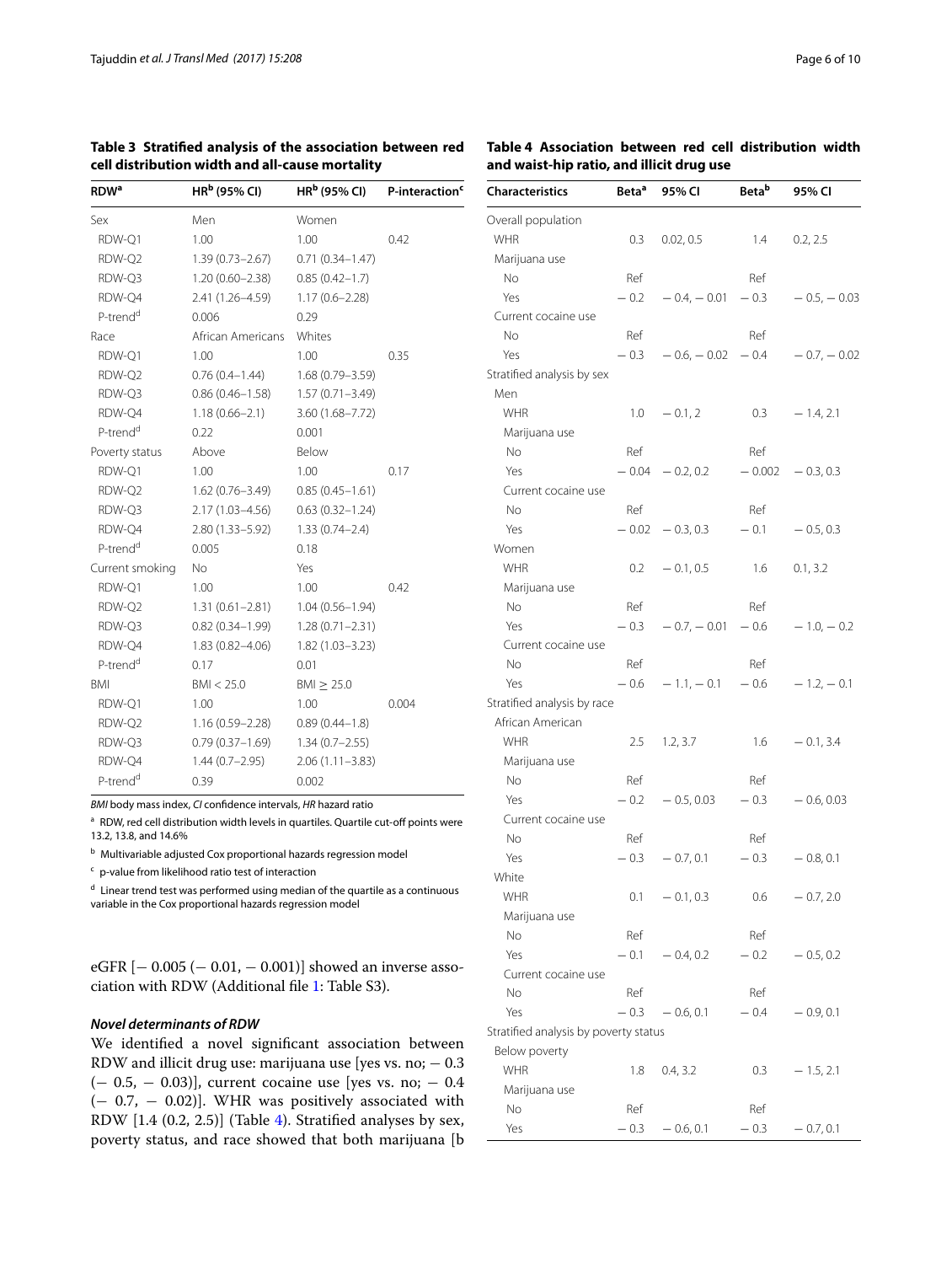<span id="page-5-0"></span>

|  |  | Table 3 Stratified analysis of the association between red |  |
|--|--|------------------------------------------------------------|--|
|  |  | cell distribution width and all-cause mortality            |  |

| <b>RDW<sup>a</sup></b> | HR <sup>b</sup> (95% CI) | HR <sup>b</sup> (95% CI) | P-interaction <sup>c</sup> |  |
|------------------------|--------------------------|--------------------------|----------------------------|--|
| Sex                    | Men                      | Women                    |                            |  |
| RDW-Q1                 | 1.00                     | 1.00                     | 0.42                       |  |
| RDW-Q2                 | $1.39(0.73 - 2.67)$      | $0.71(0.34 - 1.47)$      |                            |  |
| RDW-Q3                 | $1.20(0.60 - 2.38)$      | $0.85(0.42 - 1.7)$       |                            |  |
| RDW-Q4                 | 2.41 (1.26-4.59)         | $1.17(0.6 - 2.28)$       |                            |  |
| P-trend <sup>d</sup>   | 0.006                    | 0.29                     |                            |  |
| Race                   | African Americans        | Whites                   |                            |  |
| RDW-Q1                 | 1.00                     | 1.00                     | 0.35                       |  |
| RDW-O2                 | $0.76(0.4 - 1.44)$       | $1.68(0.79 - 3.59)$      |                            |  |
| RDW-Q3                 | $0.86(0.46 - 1.58)$      | $1.57(0.71 - 3.49)$      |                            |  |
| RDW-Q4                 | $1.18(0.66 - 2.1)$       | $3.60(1.68 - 7.72)$      |                            |  |
| P-trend <sup>d</sup>   | 0.22                     | 0.001                    |                            |  |
| Poverty status         | Above                    | Below                    |                            |  |
| RDW-Q1                 | 1.00                     | 1.00                     | 0.17                       |  |
| RDW-Q2                 | $1.62(0.76 - 3.49)$      | $0.85(0.45 - 1.61)$      |                            |  |
| RDW-Q3                 | $2.17(1.03 - 4.56)$      | $0.63(0.32 - 1.24)$      |                            |  |
| RDW-Q4                 | $2.80(1.33 - 5.92)$      | $1.33(0.74 - 2.4)$       |                            |  |
| P-trend <sup>d</sup>   | 0.005                    | 0.18                     |                            |  |
| Current smoking        | No                       | Yes                      |                            |  |
| RDW-Q1                 | 1.00                     | 1.00                     | 0.42                       |  |
| RDW-Q2                 | $1.31(0.61 - 2.81)$      | $1.04(0.56 - 1.94)$      |                            |  |
| RDW-Q3                 | $0.82(0.34 - 1.99)$      | $1.28(0.71 - 2.31)$      |                            |  |
| RDW-Q4                 | $1.83(0.82 - 4.06)$      | $1.82(1.03 - 3.23)$      |                            |  |
| P-trend <sup>d</sup>   | 0.17                     | 0.01                     |                            |  |
| <b>BMI</b>             | BMI < 25.0               | $BMI \geq 25.0$          |                            |  |
| RDW-Q1                 | 1.00                     | 1.00                     | 0.004                      |  |
| RDW-Q2                 | $1.16(0.59 - 2.28)$      | $0.89(0.44 - 1.8)$       |                            |  |
| RDW-Q3                 | $0.79(0.37 - 1.69)$      | $1.34(0.7 - 2.55)$       |                            |  |
| RDW-Q4                 | $1.44(0.7 - 2.95)$       | $2.06(1.11 - 3.83)$      |                            |  |
| P-trend <sup>d</sup>   | 0.39                     | 0.002                    |                            |  |

*BMI* body mass index, *CI* confdence intervals, *HR* hazard ratio

<sup>a</sup> RDW, red cell distribution width levels in quartiles. Quartile cut-off points were 13.2, 13.8, and 14.6%

<sup>b</sup> Multivariable adjusted Cox proportional hazards regression model

<sup>c</sup> p-value from likelihood ratio test of interaction

 $\mathrm{^{d}}\,$  Linear trend test was performed using median of the quartile as a continuous variable in the Cox proportional hazards regression model

eGFR [- 0.005 (- 0.01, - 0.001)] showed an inverse association with RDW (Additional fle [1](#page-8-7): Table S3).

#### *Novel determinants of RDW*

We identifed a novel signifcant association between RDW and illicit drug use: marijuana use [yes vs. no;  $-0.3$  $(-0.5, -0.03)$ ], current cocaine use [yes vs. no;  $-0.4$ ] (− 0.7, − 0.02)]. WHR was positively associated with RDW  $[1.4 (0.2, 2.5)]$  (Table [4\)](#page-5-1). Stratified analyses by sex, poverty status, and race showed that both marijuana [b

<span id="page-5-1"></span>

| Overall population<br><b>WHR</b><br>0.3<br>0.02, 0.5<br>1.4<br>Marijuana use<br>Ref<br>No<br>Ref<br>$-0.2$<br>Yes<br>$-0.4, -0.01$<br>$-0.3$<br>Current cocaine use | 0.2, 2.5<br>$-0.5, -0.03$<br>$-0.7, -0.02$ |
|---------------------------------------------------------------------------------------------------------------------------------------------------------------------|--------------------------------------------|
|                                                                                                                                                                     |                                            |
|                                                                                                                                                                     |                                            |
|                                                                                                                                                                     |                                            |
|                                                                                                                                                                     |                                            |
|                                                                                                                                                                     |                                            |
|                                                                                                                                                                     |                                            |
| No<br>Ref<br>Ref                                                                                                                                                    |                                            |
| $-0.3$<br>Yes<br>$-0.6, -0.02 -0.4$                                                                                                                                 |                                            |
| Stratified analysis by sex                                                                                                                                          |                                            |
| Men                                                                                                                                                                 |                                            |
| <b>WHR</b><br>$1.0 - 0.1, 2$<br>0.3                                                                                                                                 | $-1.4, 2.1$                                |
| Marijuana use                                                                                                                                                       |                                            |
| No<br>Ref<br>Ref                                                                                                                                                    |                                            |
| Yes<br>$-0.04 - 0.2, 0.2$<br>$-0.002$                                                                                                                               | $-0.3, 0.3$                                |
| Current cocaine use                                                                                                                                                 |                                            |
| No<br>Ref<br>Ref                                                                                                                                                    |                                            |
| Yes<br>$-0.02 - 0.3, 0.3$<br>$-0.1$                                                                                                                                 | $-0.5, 0.3$                                |
| Women                                                                                                                                                               |                                            |
| WHR<br>1.6<br>0.2<br>$-0.1, 0.5$                                                                                                                                    | 0.1, 3.2                                   |
| Marijuana use                                                                                                                                                       |                                            |
| <b>No</b><br>Ref<br>Ref                                                                                                                                             |                                            |
| $-0.3$<br>Yes<br>$-0.7, -0.01$<br>$-0.6$                                                                                                                            | $-1.0, -0.2$                               |
| Current cocaine use                                                                                                                                                 |                                            |
| No<br>Ref<br>Ref                                                                                                                                                    |                                            |
| $-0.6$<br>$-0.6$<br>Yes<br>$-1.1, -0.1$                                                                                                                             | $-1.2, -0.1$                               |
| Stratified analysis by race                                                                                                                                         |                                            |
| African American                                                                                                                                                    |                                            |
| <b>WHR</b><br>2.5<br>1.2, 3.7<br>1.6                                                                                                                                | $-0.1, 3.4$                                |
| Marijuana use                                                                                                                                                       |                                            |
| No<br>Ref<br>Ref                                                                                                                                                    |                                            |
| $-0.2$<br>Yes<br>$-0.5, 0.03$<br>$-0.3$                                                                                                                             | $-0.6, 0.03$                               |
| Current cocaine use                                                                                                                                                 |                                            |
| No<br>Ref<br>Ref                                                                                                                                                    |                                            |
| Yes<br>$-0.3$<br>$-0.7, 0.1$<br>$-0.3$                                                                                                                              | $-0.8, 0.1$                                |
| White                                                                                                                                                               |                                            |
| <b>WHR</b><br>0.1<br>$-0.1, 0.3$<br>0.6                                                                                                                             | $-0.7, 2.0$                                |
| Marijuana use                                                                                                                                                       |                                            |
| No<br>Ref<br>Ref                                                                                                                                                    |                                            |
| Yes<br>$-0.1$<br>$-0.2$<br>$-0.4, 0.2$                                                                                                                              | $-0.5, 0.2$                                |
| Current cocaine use                                                                                                                                                 |                                            |
| No<br>Ref<br>Ref                                                                                                                                                    |                                            |
| Yes<br>$-0.3$<br>$-0.4$<br>$-0.6, 0.1$                                                                                                                              | $-0.9, 0.1$                                |
| Stratified analysis by poverty status                                                                                                                               |                                            |
| Below poverty                                                                                                                                                       |                                            |
| WHR<br>1.8<br>0.4, 3.2<br>0.3                                                                                                                                       | $-1.5, 2.1$                                |
| Marijuana use                                                                                                                                                       |                                            |
| No<br>Ref<br>Ref                                                                                                                                                    |                                            |
| Yes<br>$-0.3$<br>$-0.6, 0.1$<br>$-0.3$                                                                                                                              | $-0.7, 0.1$                                |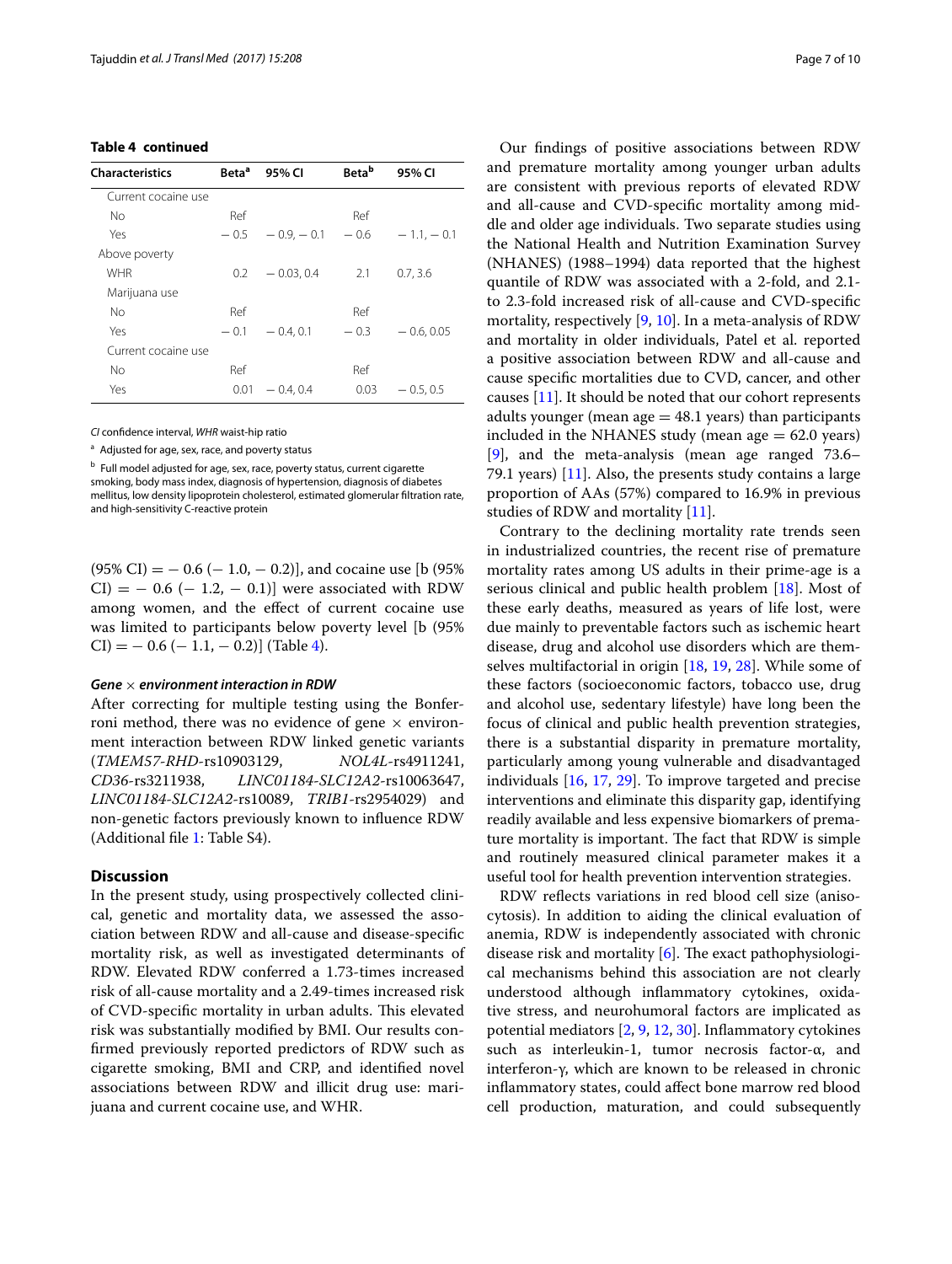# **Table 4 continued**

| <b>Characteristics</b> | <b>Beta<sup>a</sup></b> | 95% CI            | <b>Beta</b> <sup>b</sup> | 95% CI       |
|------------------------|-------------------------|-------------------|--------------------------|--------------|
| Current cocaine use    |                         |                   |                          |              |
| N <sub>o</sub>         | Ref                     |                   | Ref                      |              |
| Yes                    | $-0.5$                  | $-0.9, -0.1 -0.6$ |                          | $-1.1 - 0.1$ |
| Above poverty          |                         |                   |                          |              |
| <b>WHR</b>             | 0.2                     | $-0.03, 0.4$      | 2.1                      | 0.7, 3.6     |
| Marijuana use          |                         |                   |                          |              |
| No                     | Ref                     |                   | Ref                      |              |
| Yes                    | $-0.1$                  | $-0.4.0.1$        | $-0.3$                   | $-0.6, 0.05$ |
| Current cocaine use    |                         |                   |                          |              |
| N <sub>o</sub>         | Ref                     |                   | Ref                      |              |
| Yes                    | 0.01                    | $-0.4, 0.4$       | 0.03                     | $-0.5, 0.5$  |

*CI* confdence interval, *WHR* waist-hip ratio

<sup>a</sup> Adjusted for age, sex, race, and poverty status

<sup>b</sup> Full model adjusted for age, sex, race, poverty status, current cigarette smoking, body mass index, diagnosis of hypertension, diagnosis of diabetes mellitus, low density lipoprotein cholesterol, estimated glomerular fltration rate, and high-sensitivity C-reactive protein

 $(95\% \text{ CI}) = -0.6 (-1.0, -0.2)$ , and cocaine use [b (95%)  $CI$ ) =  $-$  0.6 ( $-$  1.2,  $-$  0.1)] were associated with RDW among women, and the efect of current cocaine use was limited to participants below poverty level [b (95%  $CI$ ) =  $-0.6$  ( $-1.1$ ,  $-0.2$ )] (Table [4\)](#page-5-1).

#### *Gene* × *environment interaction in RDW*

After correcting for multiple testing using the Bonferroni method, there was no evidence of gene  $\times$  environment interaction between RDW linked genetic variants (*TMEM57*-*RHD*-rs10903129, *NOL4L*-rs4911241, *CD36*-rs3211938, *LINC01184*-*SLC12A2*-rs10063647, *LINC01184*-*SLC12A2*-rs10089, *TRIB1*-rs2954029) and non-genetic factors previously known to infuence RDW (Additional fle [1](#page-8-7): Table S4).

# **Discussion**

In the present study, using prospectively collected clinical, genetic and mortality data, we assessed the association between RDW and all-cause and disease-specifc mortality risk, as well as investigated determinants of RDW. Elevated RDW conferred a 1.73-times increased risk of all-cause mortality and a 2.49-times increased risk of CVD-specific mortality in urban adults. This elevated risk was substantially modifed by BMI. Our results confrmed previously reported predictors of RDW such as cigarette smoking, BMI and CRP, and identifed novel associations between RDW and illicit drug use: marijuana and current cocaine use, and WHR.

Our fndings of positive associations between RDW and premature mortality among younger urban adults are consistent with previous reports of elevated RDW and all-cause and CVD-specifc mortality among middle and older age individuals. Two separate studies using the National Health and Nutrition Examination Survey (NHANES) (1988–1994) data reported that the highest quantile of RDW was associated with a 2-fold, and 2.1 to 2.3-fold increased risk of all-cause and CVD-specifc mortality, respectively [[9,](#page-8-5) [10](#page-9-17)]. In a meta-analysis of RDW and mortality in older individuals, Patel et al. reported a positive association between RDW and all-cause and cause specifc mortalities due to CVD, cancer, and other causes [[11\]](#page-9-0). It should be noted that our cohort represents adults younger (mean  $age = 48.1$  years) than participants included in the NHANES study (mean age  $= 62.0$  years) [[9\]](#page-8-5), and the meta-analysis (mean age ranged 73.6– 79.1 years)  $[11]$  $[11]$ . Also, the presents study contains a large proportion of AAs (57%) compared to 16.9% in previous studies of RDW and mortality [[11](#page-9-0)].

Contrary to the declining mortality rate trends seen in industrialized countries, the recent rise of premature mortality rates among US adults in their prime-age is a serious clinical and public health problem [\[18\]](#page-9-7). Most of these early deaths, measured as years of life lost, were due mainly to preventable factors such as ischemic heart disease, drug and alcohol use disorders which are themselves multifactorial in origin [[18,](#page-9-7) [19](#page-9-8), [28](#page-9-18)]. While some of these factors (socioeconomic factors, tobacco use, drug and alcohol use, sedentary lifestyle) have long been the focus of clinical and public health prevention strategies, there is a substantial disparity in premature mortality, particularly among young vulnerable and disadvantaged individuals [[16,](#page-9-5) [17,](#page-9-6) [29\]](#page-9-19). To improve targeted and precise interventions and eliminate this disparity gap, identifying readily available and less expensive biomarkers of premature mortality is important. The fact that RDW is simple and routinely measured clinical parameter makes it a useful tool for health prevention intervention strategies.

RDW refects variations in red blood cell size (anisocytosis). In addition to aiding the clinical evaluation of anemia, RDW is independently associated with chronic disease risk and mortality  $[6]$  $[6]$ . The exact pathophysiological mechanisms behind this association are not clearly understood although infammatory cytokines, oxidative stress, and neurohumoral factors are implicated as potential mediators [\[2,](#page-8-1) [9](#page-8-5), [12,](#page-9-1) [30](#page-9-20)]. Infammatory cytokines such as interleukin-1, tumor necrosis factor-α, and interferon-γ, which are known to be released in chronic infammatory states, could afect bone marrow red blood cell production, maturation, and could subsequently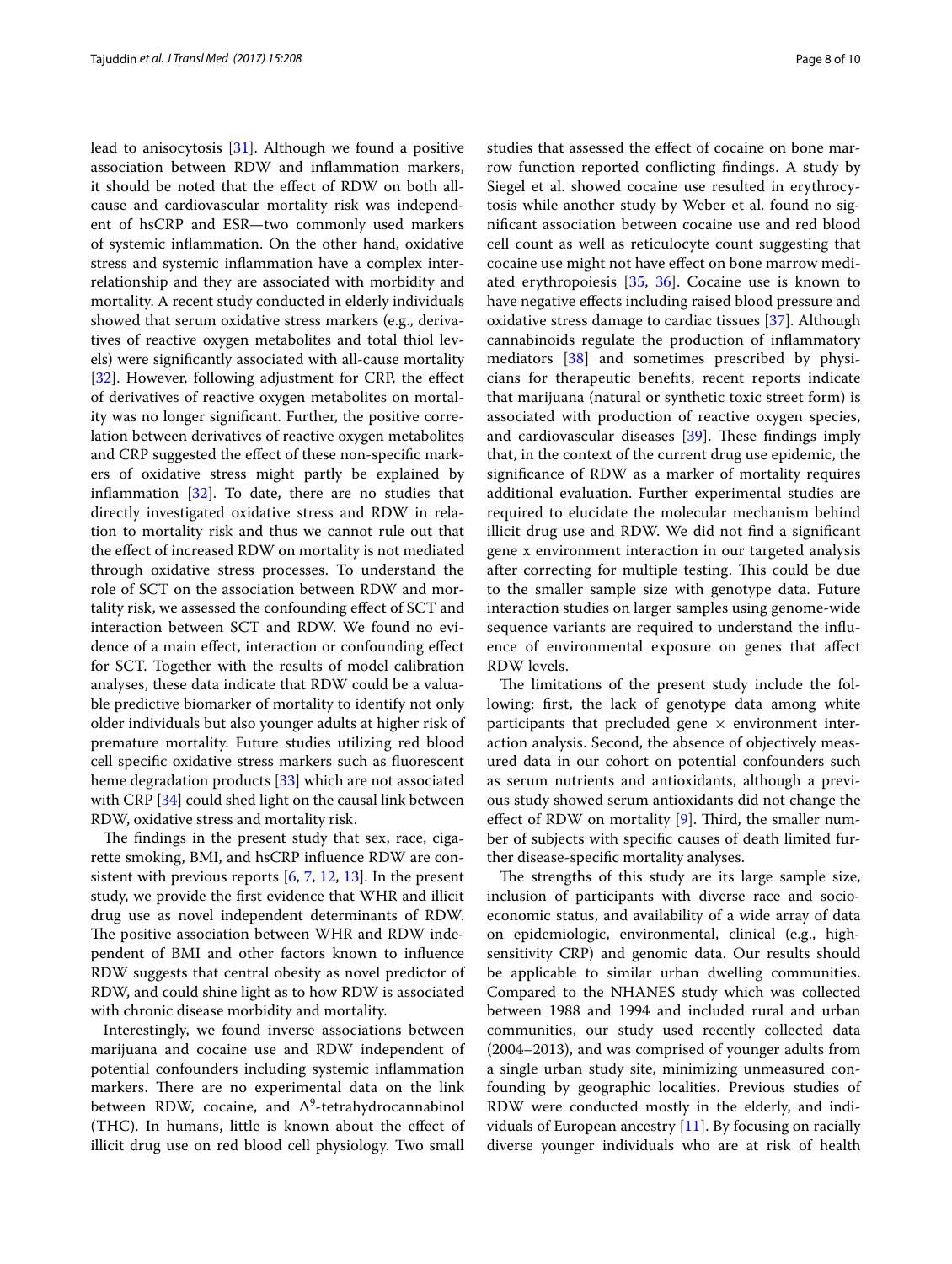lead to anisocytosis [\[31\]](#page-9-21). Although we found a positive association between RDW and infammation markers, it should be noted that the efect of RDW on both allcause and cardiovascular mortality risk was independent of hsCRP and ESR—two commonly used markers of systemic infammation. On the other hand, oxidative stress and systemic infammation have a complex interrelationship and they are associated with morbidity and mortality. A recent study conducted in elderly individuals showed that serum oxidative stress markers (e.g., derivatives of reactive oxygen metabolites and total thiol levels) were signifcantly associated with all-cause mortality [[32\]](#page-9-22). However, following adjustment for CRP, the effect of derivatives of reactive oxygen metabolites on mortality was no longer signifcant. Further, the positive correlation between derivatives of reactive oxygen metabolites and CRP suggested the efect of these non-specifc markers of oxidative stress might partly be explained by inflammation  $[32]$  $[32]$ . To date, there are no studies that directly investigated oxidative stress and RDW in relation to mortality risk and thus we cannot rule out that the efect of increased RDW on mortality is not mediated through oxidative stress processes. To understand the role of SCT on the association between RDW and mortality risk, we assessed the confounding efect of SCT and interaction between SCT and RDW. We found no evidence of a main efect, interaction or confounding efect for SCT. Together with the results of model calibration analyses, these data indicate that RDW could be a valuable predictive biomarker of mortality to identify not only older individuals but also younger adults at higher risk of premature mortality. Future studies utilizing red blood cell specifc oxidative stress markers such as fuorescent heme degradation products [[33\]](#page-9-23) which are not associated with CRP [\[34\]](#page-9-24) could shed light on the causal link between RDW, oxidative stress and mortality risk.

The findings in the present study that sex, race, cigarette smoking, BMI, and hsCRP infuence RDW are consistent with previous reports [\[6](#page-8-3), [7](#page-8-2), [12](#page-9-1), [13\]](#page-9-2). In the present study, we provide the frst evidence that WHR and illicit drug use as novel independent determinants of RDW. The positive association between WHR and RDW independent of BMI and other factors known to infuence RDW suggests that central obesity as novel predictor of RDW, and could shine light as to how RDW is associated with chronic disease morbidity and mortality.

Interestingly, we found inverse associations between marijuana and cocaine use and RDW independent of potential confounders including systemic infammation markers. There are no experimental data on the link between RDW, cocaine, and  $\Delta^9$ -tetrahydrocannabinol (THC). In humans, little is known about the efect of illicit drug use on red blood cell physiology. Two small

studies that assessed the efect of cocaine on bone marrow function reported conficting fndings. A study by Siegel et al. showed cocaine use resulted in erythrocytosis while another study by Weber et al. found no signifcant association between cocaine use and red blood cell count as well as reticulocyte count suggesting that cocaine use might not have efect on bone marrow mediated erythropoiesis [[35,](#page-9-25) [36](#page-9-26)]. Cocaine use is known to have negative efects including raised blood pressure and oxidative stress damage to cardiac tissues [[37](#page-9-27)]. Although cannabinoids regulate the production of infammatory mediators [[38\]](#page-9-28) and sometimes prescribed by physicians for therapeutic benefts, recent reports indicate that marijuana (natural or synthetic toxic street form) is associated with production of reactive oxygen species, and cardiovascular diseases  $[39]$  $[39]$ . These findings imply that, in the context of the current drug use epidemic, the signifcance of RDW as a marker of mortality requires additional evaluation. Further experimental studies are required to elucidate the molecular mechanism behind illicit drug use and RDW. We did not fnd a signifcant gene x environment interaction in our targeted analysis after correcting for multiple testing. This could be due to the smaller sample size with genotype data. Future interaction studies on larger samples using genome-wide sequence variants are required to understand the infuence of environmental exposure on genes that afect RDW levels.

The limitations of the present study include the following: frst, the lack of genotype data among white participants that precluded gene  $\times$  environment interaction analysis. Second, the absence of objectively measured data in our cohort on potential confounders such as serum nutrients and antioxidants, although a previous study showed serum antioxidants did not change the effect of RDW on mortality  $[9]$  $[9]$ . Third, the smaller number of subjects with specifc causes of death limited further disease-specifc mortality analyses.

The strengths of this study are its large sample size, inclusion of participants with diverse race and socioeconomic status, and availability of a wide array of data on epidemiologic, environmental, clinical (e.g., highsensitivity CRP) and genomic data. Our results should be applicable to similar urban dwelling communities. Compared to the NHANES study which was collected between 1988 and 1994 and included rural and urban communities, our study used recently collected data (2004–2013), and was comprised of younger adults from a single urban study site, minimizing unmeasured confounding by geographic localities. Previous studies of RDW were conducted mostly in the elderly, and individuals of European ancestry [\[11](#page-9-0)]. By focusing on racially diverse younger individuals who are at risk of health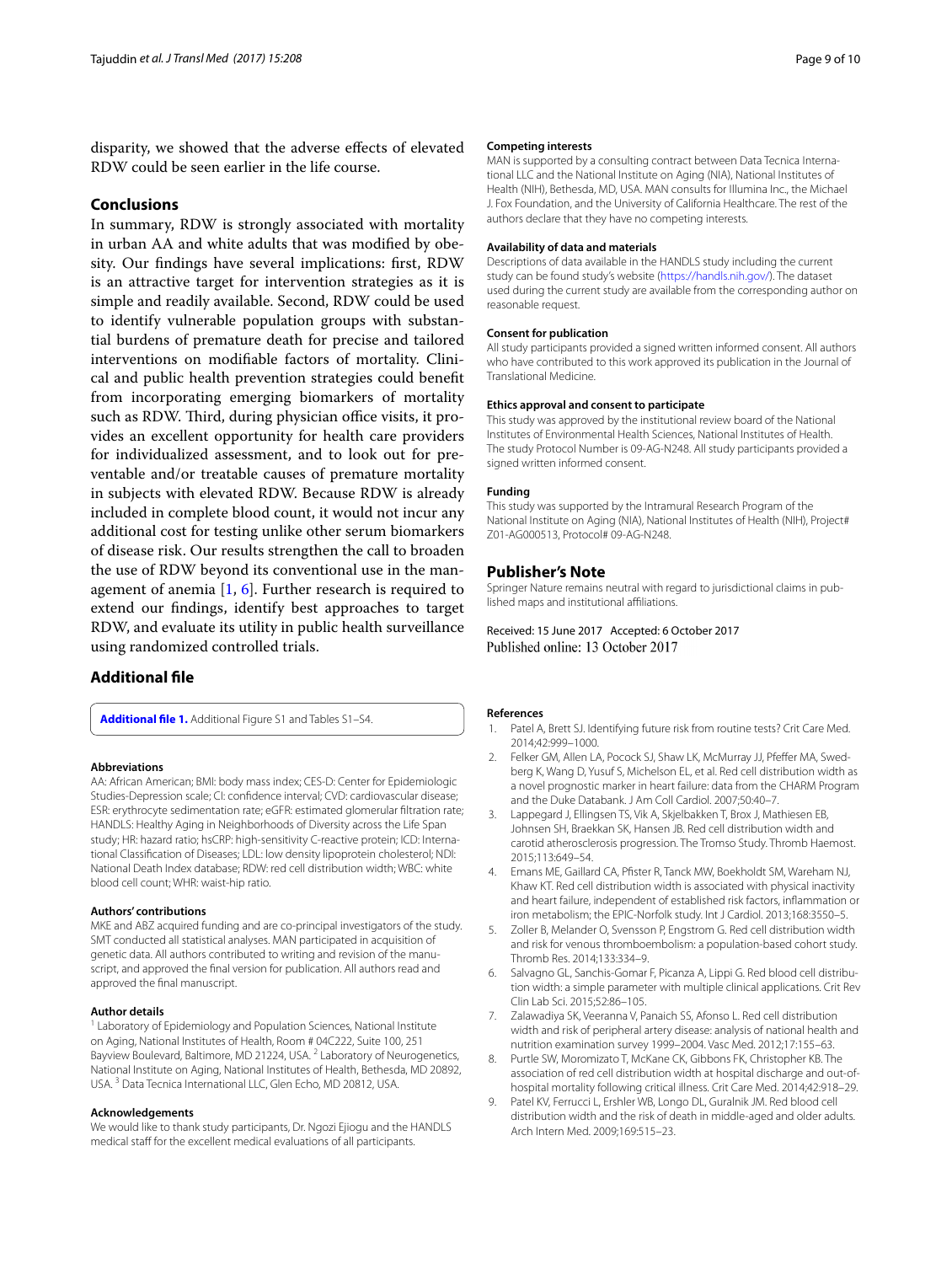disparity, we showed that the adverse efects of elevated RDW could be seen earlier in the life course.

## **Conclusions**

In summary, RDW is strongly associated with mortality in urban AA and white adults that was modifed by obesity. Our fndings have several implications: frst, RDW is an attractive target for intervention strategies as it is simple and readily available. Second, RDW could be used to identify vulnerable population groups with substantial burdens of premature death for precise and tailored interventions on modifable factors of mortality. Clinical and public health prevention strategies could beneft from incorporating emerging biomarkers of mortality such as RDW. Third, during physician office visits, it provides an excellent opportunity for health care providers for individualized assessment, and to look out for preventable and/or treatable causes of premature mortality in subjects with elevated RDW. Because RDW is already included in complete blood count, it would not incur any additional cost for testing unlike other serum biomarkers of disease risk. Our results strengthen the call to broaden the use of RDW beyond its conventional use in the management of anemia  $[1, 6]$  $[1, 6]$  $[1, 6]$ . Further research is required to extend our fndings, identify best approaches to target RDW, and evaluate its utility in public health surveillance using randomized controlled trials.

# **Additional fle**

<span id="page-8-7"></span>**[Additional fle 1.](http://dx.doi.org/10.1186/s12967-017-1313-6)** Additional Figure S1 and Tables S1–S4.

#### **Abbreviations**

AA: African American; BMI: body mass index; CES-D: Center for Epidemiologic Studies-Depression scale; CI: confdence interval; CVD: cardiovascular disease; ESR: erythrocyte sedimentation rate; eGFR: estimated glomerular fltration rate; HANDLS: Healthy Aging in Neighborhoods of Diversity across the Life Span study; HR: hazard ratio; hsCRP: high-sensitivity C-reactive protein; ICD: International Classifcation of Diseases; LDL: low density lipoprotein cholesterol; NDI: National Death Index database; RDW: red cell distribution width; WBC: white blood cell count; WHR: waist-hip ratio.

#### **Authors' contributions**

MKE and ABZ acquired funding and are co-principal investigators of the study. SMT conducted all statistical analyses. MAN participated in acquisition of genetic data. All authors contributed to writing and revision of the manuscript, and approved the fnal version for publication. All authors read and approved the fnal manuscript.

#### **Author details**

Laboratory of Epidemiology and Population Sciences, National Institute on Aging, National Institutes of Health, Room # 04C222, Suite 100, 251 Bayview Boulevard, Baltimore, MD 21224, USA.<sup>2</sup> Laboratory of Neurogenetics, National Institute on Aging, National Institutes of Health, Bethesda, MD 20892, USA. 3 Data Tecnica International LLC, Glen Echo, MD 20812, USA.

#### **Acknowledgements**

We would like to thank study participants, Dr. Ngozi Ejiogu and the HANDLS medical staff for the excellent medical evaluations of all participants.

#### **Competing interests**

MAN is supported by a consulting contract between Data Tecnica International LLC and the National Institute on Aging (NIA), National Institutes of Health (NIH), Bethesda, MD, USA. MAN consults for Illumina Inc., the Michael J. Fox Foundation, and the University of California Healthcare. The rest of the authors declare that they have no competing interests.

#### **Availability of data and materials**

Descriptions of data available in the HANDLS study including the current study can be found study's website [\(https://handls.nih.gov/\)](https://handls.nih.gov/). The dataset used during the current study are available from the corresponding author on reasonable request.

#### **Consent for publication**

All study participants provided a signed written informed consent. All authors who have contributed to this work approved its publication in the Journal of Translational Medicine.

#### **Ethics approval and consent to participate**

This study was approved by the institutional review board of the National Institutes of Environmental Health Sciences, National Institutes of Health. The study Protocol Number is 09-AG-N248. All study participants provided a signed written informed consent.

#### **Funding**

This study was supported by the Intramural Research Program of the National Institute on Aging (NIA), National Institutes of Health (NIH), Project# Z01-AG000513, Protocol# 09-AG-N248.

#### **Publisher's Note**

Springer Nature remains neutral with regard to jurisdictional claims in published maps and institutional affiliations.

#### Received: 15 June 2017 Accepted: 6 October 2017 Published online: 13 October 2017

#### **References**

- <span id="page-8-0"></span>1. Patel A, Brett SJ. Identifying future risk from routine tests? Crit Care Med. 2014;42:999–1000.
- <span id="page-8-1"></span>Felker GM, Allen LA, Pocock SJ, Shaw LK, McMurray JJ, Pfeffer MA, Swedberg K, Wang D, Yusuf S, Michelson EL, et al. Red cell distribution width as a novel prognostic marker in heart failure: data from the CHARM Program and the Duke Databank. J Am Coll Cardiol. 2007;50:40–7.
- 3. Lappegard J, Ellingsen TS, Vik A, Skjelbakken T, Brox J, Mathiesen EB, Johnsen SH, Braekkan SK, Hansen JB. Red cell distribution width and carotid atherosclerosis progression. The Tromso Study. Thromb Haemost. 2015;113:649–54.
- Emans ME, Gaillard CA, Pfister R, Tanck MW, Boekholdt SM, Wareham NJ, Khaw KT. Red cell distribution width is associated with physical inactivity and heart failure, independent of established risk factors, infammation or iron metabolism; the EPIC-Norfolk study. Int J Cardiol. 2013;168:3550–5.
- <span id="page-8-6"></span>5. Zoller B, Melander O, Svensson P, Engstrom G. Red cell distribution width and risk for venous thromboembolism: a population-based cohort study. Thromb Res. 2014;133:334–9.
- <span id="page-8-3"></span>6. Salvagno GL, Sanchis-Gomar F, Picanza A, Lippi G. Red blood cell distribution width: a simple parameter with multiple clinical applications. Crit Rev Clin Lab Sci. 2015;52:86–105.
- <span id="page-8-2"></span>7. Zalawadiya SK, Veeranna V, Panaich SS, Afonso L. Red cell distribution width and risk of peripheral artery disease: analysis of national health and nutrition examination survey 1999–2004. Vasc Med. 2012;17:155–63.
- <span id="page-8-4"></span>8. Purtle SW, Moromizato T, McKane CK, Gibbons FK, Christopher KB. The association of red cell distribution width at hospital discharge and out-ofhospital mortality following critical illness. Crit Care Med. 2014;42:918–29.
- <span id="page-8-5"></span>9. Patel KV, Ferrucci L, Ershler WB, Longo DL, Guralnik JM. Red blood cell distribution width and the risk of death in middle-aged and older adults. Arch Intern Med. 2009;169:515–23.